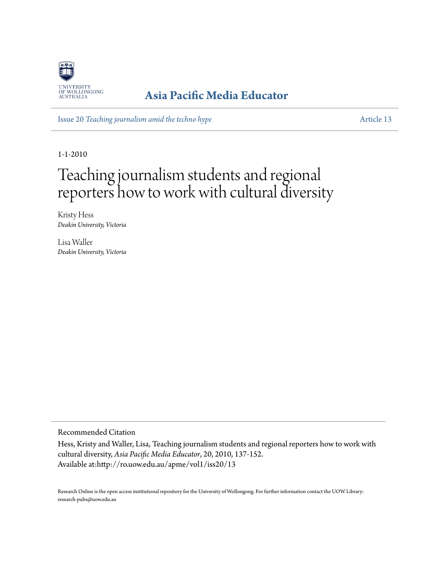

## **[Asia Pacific Media Educator](http://ro.uow.edu.au/apme)**

Issue 20 *[Teaching journalism amid the techno hype](http://ro.uow.edu.au/apme/vol1/iss20)* [Article 13](http://ro.uow.edu.au/apme/vol1/iss20/13)

1-1-2010

# Teaching journalism students and regional reporters how to work with cultural diversity

Kristy Hess *Deakin University, Victoria*

Lisa Waller *Deakin University, Victoria*

Recommended Citation

Hess, Kristy and Waller, Lisa, Teaching journalism students and regional reporters how to work with cultural diversity, *Asia Pacific Media Educator*, 20, 2010, 137-152. Available at:http://ro.uow.edu.au/apme/vol1/iss20/13

Research Online is the open access institutional repository for the University of Wollongong. For further information contact the UOW Library: research-pubs@uow.edu.au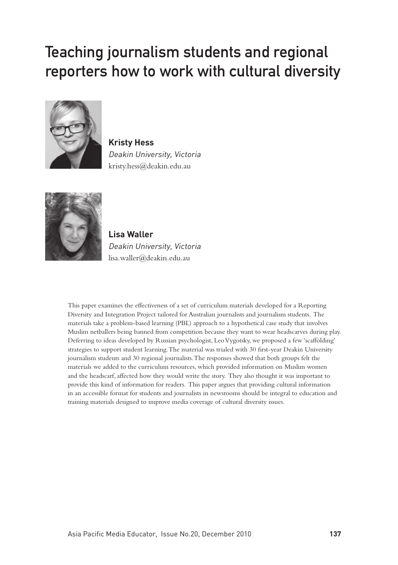## Teaching journalism students and regional reporters how to work with cultural diversity



**Kristy Hess**  Deakin University, Victoria kristy.hess@deakin.edu.au



**Lisa Waller** Deakin University, Victoria lisa.waller@deakin.edu.au

This paper examines the effectiveness of a set of curriculum materials developed for a Reporting Diversity and Integration Project tailored for Australian journalists and journalism students. The materials take a problem-based learning (PBL) approach to a hypothetical case study that involves Muslim netballers being banned from competition because they want to wear headscarves during play. Deferring to ideas developed by Russian psychologist, Leo Vygotsky, we proposed a few 'scaffolding' strategies to support student learning. The material was trialed with 30 first-year Deakin University journalism students and 30 regional journalists. The responses showed that both groups felt the materials we added to the curriculum resources, which provided information on Muslim women and the headscarf, affected how they would write the story. They also thought it was important to provide this kind of information for readers. This paper argues that providing cultural information in an accessible format for students and journalists in newsrooms should be integral to education and training materials designed to improve media coverage of cultural diversity issues.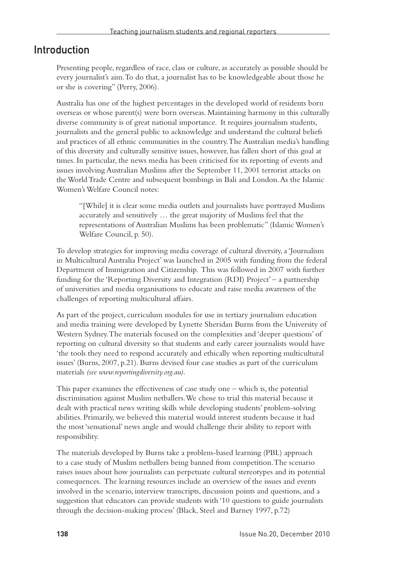#### Introduction

Presenting people, regardless of race, class or culture, as accurately as possible should be every journalist's aim. To do that, a journalist has to be knowledgeable about those he or she is covering" (Perry, 2006).

Australia has one of the highest percentages in the developed world of residents born overseas or whose parent(s) were born overseas. Maintaining harmony in this culturally diverse community is of great national importance. It requires journalism students, journalists and the general public to acknowledge and understand the cultural beliefs and practices of all ethnic communities in the country. The Australian media's handling of this diversity and culturally sensitive issues, however, has fallen short of this goal at times. In particular, the news media has been criticised for its reporting of events and issues involving Australian Muslims after the September 11, 2001 terrorist attacks on the World Trade Centre and subsequent bombings in Bali and London. As the Islamic Women's Welfare Council notes:

"[While] it is clear some media outlets and journalists have portrayed Muslims accurately and sensitively … the great majority of Muslims feel that the representations of Australian Muslims has been problematic" (Islamic Women's Welfare Council, p. 50).

To develop strategies for improving media coverage of cultural diversity, a 'Journalism in Multicultural Australia Project' was launched in 2005 with funding from the federal Department of Immigration and Citizenship. This was followed in 2007 with further funding for the 'Reporting Diversity and Integration (RDI) Project' – a partnership of universities and media organisations to educate and raise media awareness of the challenges of reporting multicultural affairs.

As part of the project, curriculum modules for use in tertiary journalism education and media training were developed by Lynette Sheridan Burns from the University of Western Sydney. The materials focused on the complexities and 'deeper questions' of reporting on cultural diversity so that students and early career journalists would have 'the tools they need to respond accurately and ethically when reporting multicultural issues' (Burns, 2007, p.21). Burns devised four case studies as part of the curriculum materials *(see www.reportingdiversity.org.au).* 

This paper examines the effectiveness of case study one – which is, the potential discrimination against Muslim netballers. We chose to trial this material because it dealt with practical news writing skills while developing students' problem-solving abilities. Primarily, we believed this material would interest students because it had the most 'sensational' news angle and would challenge their ability to report with responsibility.

The materials developed by Burns take a problem-based learning (PBL) approach to a case study of Muslim netballers being banned from competition. The scenario raises issues about how journalists can perpetuate cultural stereotypes and its potential consequences. The learning resources include an overview of the issues and events involved in the scenario, interview transcripts, discussion points and questions, and a suggestion that educators can provide students with '10 questions to guide journalists through the decision-making process' (Black, Steel and Barney 1997, p.72)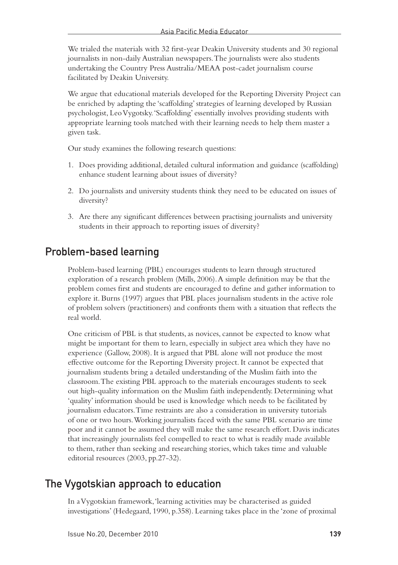We trialed the materials with 32 first-year Deakin University students and 30 regional journalists in non-daily Australian newspapers. The journalists were also students undertaking the Country Press Australia/MEAA post-cadet journalism course facilitated by Deakin University.

We argue that educational materials developed for the Reporting Diversity Project can be enriched by adapting the 'scaffolding' strategies of learning developed by Russian psychologist, Leo Vygotsky. 'Scaffolding' essentially involves providing students with appropriate learning tools matched with their learning needs to help them master a given task.

Our study examines the following research questions:

- 1. Does providing additional, detailed cultural information and guidance (scaffolding) enhance student learning about issues of diversity?
- 2. Do journalists and university students think they need to be educated on issues of diversity?
- 3. Are there any significant differences between practising journalists and university students in their approach to reporting issues of diversity?

### Problem-based learning

Problem-based learning (PBL) encourages students to learn through structured exploration of a research problem (Mills, 2006). A simple definition may be that the problem comes first and students are encouraged to define and gather information to explore it. Burns (1997) argues that PBL places journalism students in the active role of problem solvers (practitioners) and confronts them with a situation that reflects the real world.

One criticism of PBL is that students, as novices, cannot be expected to know what might be important for them to learn, especially in subject area which they have no experience (Gallow, 2008). It is argued that PBL alone will not produce the most effective outcome for the Reporting Diversity project. It cannot be expected that journalism students bring a detailed understanding of the Muslim faith into the classroom. The existing PBL approach to the materials encourages students to seek out high-quality information on the Muslim faith independently. Determining what 'quality' information should be used is knowledge which needs to be facilitated by journalism educators. Time restraints are also a consideration in university tutorials of one or two hours. Working journalists faced with the same PBL scenario are time poor and it cannot be assumed they will make the same research effort. Davis indicates that increasingly journalists feel compelled to react to what is readily made available to them, rather than seeking and researching stories, which takes time and valuable editorial resources (2003, pp.27-32).

## The Vygotskian approach to education

In a Vygotskian framework, 'learning activities may be characterised as guided investigations' (Hedegaard, 1990, p.358). Learning takes place in the 'zone of proximal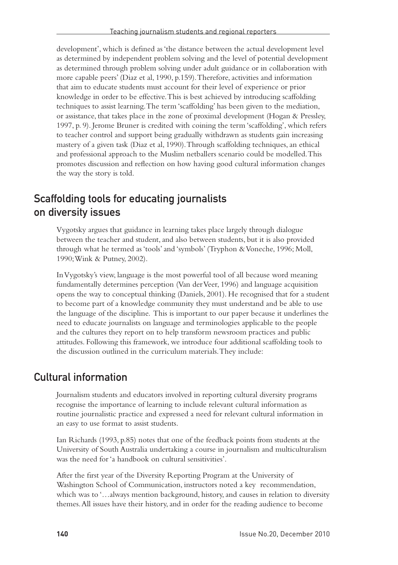development', which is defined as 'the distance between the actual development level as determined by independent problem solving and the level of potential development as determined through problem solving under adult guidance or in collaboration with more capable peers' (Diaz et al, 1990, p.159). Therefore, activities and information that aim to educate students must account for their level of experience or prior knowledge in order to be effective. This is best achieved by introducing scaffolding techniques to assist learning. The term 'scaffolding' has been given to the mediation, or assistance, that takes place in the zone of proximal development (Hogan & Pressley, 1997, p. 9). Jerome Bruner is credited with coining the term 'scaffolding', which refers to teacher control and support being gradually withdrawn as students gain increasing mastery of a given task (Diaz et al, 1990). Through scaffolding techniques, an ethical and professional approach to the Muslim netballers scenario could be modelled. This promotes discussion and reflection on how having good cultural information changes the way the story is told.

## Scaffolding tools for educating journalists on diversity issues

Vygotsky argues that guidance in learning takes place largely through dialogue between the teacher and student, and also between students, but it is also provided through what he termed as 'tools' and 'symbols' (Tryphon & Voneche, 1996; Moll, 1990; Wink & Putney, 2002).

In Vygotsky's view, language is the most powerful tool of all because word meaning fundamentally determines perception (Van der Veer, 1996) and language acquisition opens the way to conceptual thinking (Daniels, 2001). He recognised that for a student to become part of a knowledge community they must understand and be able to use the language of the discipline. This is important to our paper because it underlines the need to educate journalists on language and terminologies applicable to the people and the cultures they report on to help transform newsroom practices and public attitudes. Following this framework, we introduce four additional scaffolding tools to the discussion outlined in the curriculum materials. They include:

## Cultural information

Journalism students and educators involved in reporting cultural diversity programs recognise the importance of learning to include relevant cultural information as routine journalistic practice and expressed a need for relevant cultural information in an easy to use format to assist students.

Ian Richards (1993, p.85) notes that one of the feedback points from students at the University of South Australia undertaking a course in journalism and multiculturalism was the need for 'a handbook on cultural sensitivities'.

After the first year of the Diversity Reporting Program at the University of Washington School of Communication, instructors noted a key recommendation, which was to '…always mention background, history, and causes in relation to diversity themes. All issues have their history, and in order for the reading audience to become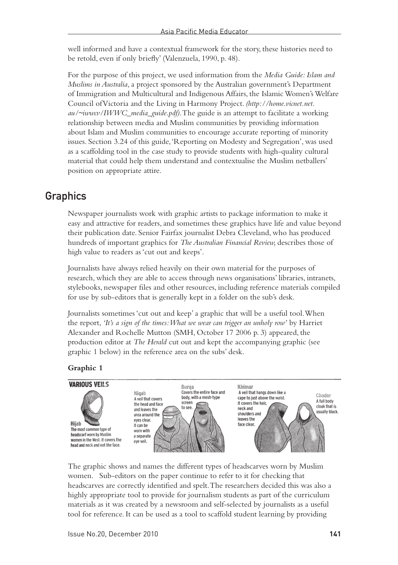well informed and have a contextual framework for the story, these histories need to be retold, even if only briefly' (Valenzuela, 1990, p. 48).

For the purpose of this project, we used information from the *Media Guide: Islam and Muslims in Australia,* a project sponsored by the Australian government's Department of Immigration and Multicultural and Indigenous Affairs, the Islamic Women's Welfare Council of Victoria and the Living in Harmony Project. *(http://home.vicnet.net. au/~iwwcv/IWWC\_media\_guide.pdf)*. The guide is an attempt to facilitate a working relationship between media and Muslim communities by providing information about Islam and Muslim communities to encourage accurate reporting of minority issues. Section 3.24 of this guide, 'Reporting on Modesty and Segregation', was used as a scaffolding tool in the case study to provide students with high-quality cultural material that could help them understand and contextualise the Muslim netballers' position on appropriate attire.

## **Graphics**

Newspaper journalists work with graphic artists to package information to make it easy and attractive for readers, and sometimes these graphics have life and value beyond their publication date. Senior Fairfax journalist Debra Cleveland, who has produced hundreds of important graphics for *The Australian Financial Review,* describes those of high value to readers as 'cut out and keeps'.

Journalists have always relied heavily on their own material for the purposes of research, which they are able to access through news organisations' libraries, intranets, stylebooks, newspaper files and other resources, including reference materials compiled for use by sub-editors that is generally kept in a folder on the sub's desk.

Journalists sometimes 'cut out and keep' a graphic that will be a useful tool. When the report, *'It's a sign of the times: What we wear can trigger an unholy row'* by Harriet Alexander and Rochelle Mutton (SMH, October 17 2006 p. 3) appeared, the production editor at *The Herald* cut out and kept the accompanying graphic (see graphic 1 below) in the reference area on the subs' desk.

#### **Graphic 1**



The graphic shows and names the different types of headscarves worn by Muslim women. Sub-editors on the paper continue to refer to it for checking that headscarves are correctly identified and spelt. The researchers decided this was also a highly appropriate tool to provide for journalism students as part of the curriculum materials as it was created by a newsroom and self-selected by journalists as a useful tool for reference. It can be used as a tool to scaffold student learning by providing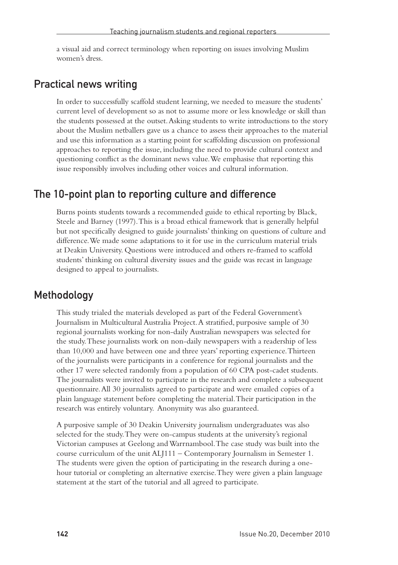a visual aid and correct terminology when reporting on issues involving Muslim women's dress.

#### Practical news writing

In order to successfully scaffold student learning, we needed to measure the students' current level of development so as not to assume more or less knowledge or skill than the students possessed at the outset. Asking students to write introductions to the story about the Muslim netballers gave us a chance to assess their approaches to the material and use this information as a starting point for scaffolding discussion on professional approaches to reporting the issue, including the need to provide cultural context and questioning conflict as the dominant news value. We emphasise that reporting this issue responsibly involves including other voices and cultural information.

#### The 10-point plan to reporting culture and difference

Burns points students towards a recommended guide to ethical reporting by Black, Steele and Barney (1997). This is a broad ethical framework that is generally helpful but not specifically designed to guide journalists' thinking on questions of culture and difference. We made some adaptations to it for use in the curriculum material trials at Deakin University. Questions were introduced and others re-framed to scaffold students' thinking on cultural diversity issues and the guide was recast in language designed to appeal to journalists.

## Methodology

This study trialed the materials developed as part of the Federal Government's Journalism in Multicultural Australia Project. A stratified, purposive sample of 30 regional journalists working for non-daily Australian newspapers was selected for the study. These journalists work on non-daily newspapers with a readership of less than 10,000 and have between one and three years' reporting experience. Thirteen of the journalists were participants in a conference for regional journalists and the other 17 were selected randomly from a population of 60 CPA post-cadet students. The journalists were invited to participate in the research and complete a subsequent questionnaire. All 30 journalists agreed to participate and were emailed copies of a plain language statement before completing the material. Their participation in the research was entirely voluntary. Anonymity was also guaranteed.

A purposive sample of 30 Deakin University journalism undergraduates was also selected for the study. They were on-campus students at the university's regional Victorian campuses at Geelong and Warrnambool. The case study was built into the course curriculum of the unit ALJ111 – Contemporary Journalism in Semester 1. The students were given the option of participating in the research during a onehour tutorial or completing an alternative exercise. They were given a plain language statement at the start of the tutorial and all agreed to participate.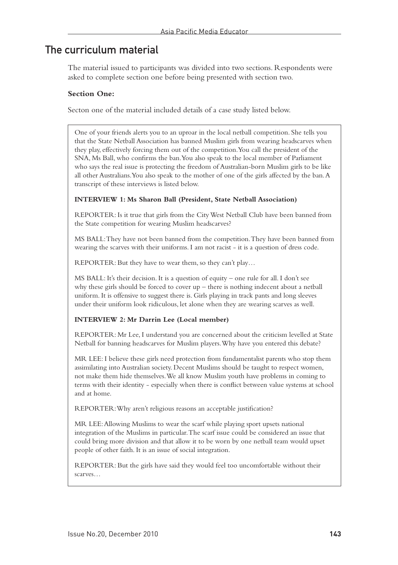## The curriculum material

The material issued to participants was divided into two sections. Respondents were asked to complete section one before being presented with section two.

#### **Section One:**

Secton one of the material included details of a case study listed below.

One of your friends alerts you to an uproar in the local netball competition. She tells you that the State Netball Association has banned Muslim girls from wearing headscarves when they play, effectively forcing them out of the competition. You call the president of the SNA, Ms Ball, who confirms the ban. You also speak to the local member of Parliament who says the real issue is protecting the freedom of Australian-born Muslim girls to be like all other Australians. You also speak to the mother of one of the girls affected by the ban. A transcript of these interviews is listed below.

#### **INTERVIEW 1: Ms Sharon Ball (President, State Netball Association)**

REPORTER: Is it true that girls from the City West Netball Club have been banned from the State competition for wearing Muslim headscarves?

MS BALL: They have not been banned from the competition. They have been banned from wearing the scarves with their uniforms. I am not racist - it is a question of dress code.

REPORTER: But they have to wear them, so they can't play…

MS BALL: It's their decision. It is a question of equity – one rule for all. I don't see why these girls should be forced to cover up – there is nothing indecent about a netball uniform. It is offensive to suggest there is. Girls playing in track pants and long sleeves under their uniform look ridiculous, let alone when they are wearing scarves as well.

#### **INTERVIEW 2: Mr Darrin Lee (Local member)**

REPORTER: Mr Lee, I understand you are concerned about the criticism levelled at State Netball for banning headscarves for Muslim players. Why have you entered this debate?

MR LEE: I believe these girls need protection from fundamentalist parents who stop them assimilating into Australian society. Decent Muslims should be taught to respect women, not make them hide themselves. We all know Muslim youth have problems in coming to terms with their identity - especially when there is conflict between value systems at school and at home.

REPORTER: Why aren't religious reasons an acceptable justification?

MR LEE: Allowing Muslims to wear the scarf while playing sport upsets national integration of the Muslims in particular. The scarf issue could be considered an issue that could bring more division and that allow it to be worn by one netball team would upset people of other faith. It is an issue of social integration.

REPORTER: But the girls have said they would feel too uncomfortable without their scarves…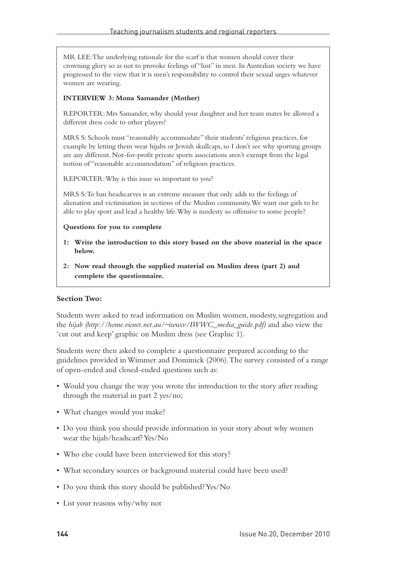MR LEE: The underlying rationale for the scarf is that women should cover their crowning glory so as not to provoke feelings of "lust" in men. In Australian society we have progressed to the view that it is men's responsibility to control their sexual urges whatever women are wearing.

#### **INTERVIEW 3: Mona Samander (Mother)**

REPORTER: Mrs Samander, why should your daughter and her team mates be allowed a different dress code to other players?

MRS S: Schools must "reasonably accommodate'' their students' religious practices, for example by letting them wear hijabs or Jewish skullcaps, so I don't see why sporting groups are any different. Not-for-profit private sports associations aren't exempt from the legal notion of "reasonable accommodation'' of religious practices.

REPORTER: Why is this issue so important to you?

MRS S: To ban headscarves is an extreme measure that only adds to the feelings of alienation and victimisation in sections of the Muslim community. We want our girls to be able to play sport and lead a healthy life. Why is modesty so offensive to some people?

#### **Questions for you to complete**

- **1: Write the introduction to this story based on the above material in the space below.**
- **2: Now read through the supplied material on Muslim dress (part 2) and complete the questionnaire.**

#### **Section Two:**

Students were asked to read information on Muslim women, modesty, segregation and the *hijab (http://home.vicnet.net.au/~iwwcv/IWWC\_media\_guide.pdf)* and also view the 'cut out and keep' graphic on Muslim dress (see Graphic 1).

Students were then asked to complete a questionnaire prepared according to the guidelines provided in Wimmer and Dominick (2006). The survey consisted of a range of open-ended and closed-ended questions such as:

- • Would you change the way you wrote the introduction to the story after reading through the material in part 2 yes/no;
- What changes would you make?
- Do you think you should provide information in your story about why women wear the hijab/headscarf? Yes/No
- • Who else could have been interviewed for this story?
- What secondary sources or background material could have been used?
- Do you think this story should be published? Yes/No
- List your reasons why/why not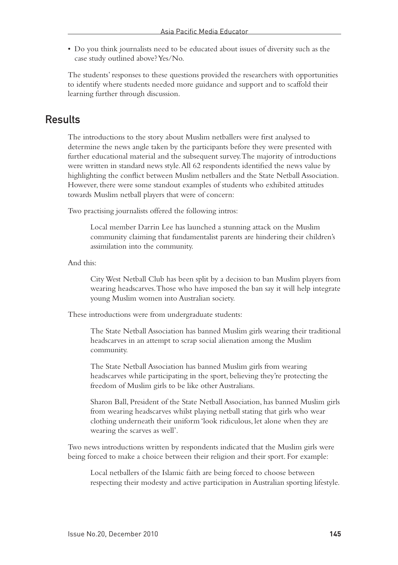• Do you think journalists need to be educated about issues of diversity such as the case study outlined above? Yes/No.

The students' responses to these questions provided the researchers with opportunities to identify where students needed more guidance and support and to scaffold their learning further through discussion.

### **Results**

The introductions to the story about Muslim netballers were first analysed to determine the news angle taken by the participants before they were presented with further educational material and the subsequent survey. The majority of introductions were written in standard news style. All 62 respondents identified the news value by highlighting the conflict between Muslim netballers and the State Netball Association. However, there were some standout examples of students who exhibited attitudes towards Muslim netball players that were of concern:

Two practising journalists offered the following intros:

Local member Darrin Lee has launched a stunning attack on the Muslim community claiming that fundamentalist parents are hindering their children's assimilation into the community.

And this:

City West Netball Club has been split by a decision to ban Muslim players from wearing headscarves. Those who have imposed the ban say it will help integrate young Muslim women into Australian society.

These introductions were from undergraduate students:

The State Netball Association has banned Muslim girls wearing their traditional headscarves in an attempt to scrap social alienation among the Muslim community.

The State Netball Association has banned Muslim girls from wearing headscarves while participating in the sport, believing they're protecting the freedom of Muslim girls to be like other Australians.

Sharon Ball, President of the State Netball Association, has banned Muslim girls from wearing headscarves whilst playing netball stating that girls who wear clothing underneath their uniform 'look ridiculous, let alone when they are wearing the scarves as well'.

Two news introductions written by respondents indicated that the Muslim girls were being forced to make a choice between their religion and their sport. For example:

Local netballers of the Islamic faith are being forced to choose between respecting their modesty and active participation in Australian sporting lifestyle.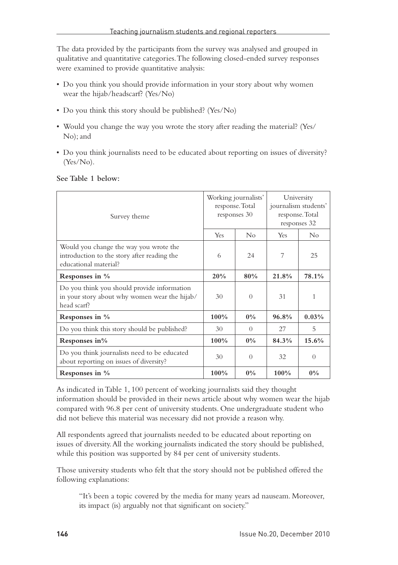The data provided by the participants from the survey was analysed and grouped in qualitative and quantitative categories. The following closed-ended survey responses were examined to provide quantitative analysis:

- • Do you think you should provide information in your story about why women wear the hijab/headscarf? (Yes/No)
- Do you think this story should be published? (Yes/No)
- Would you change the way you wrote the story after reading the material? (Yes/ No); and
- Do you think journalists need to be educated about reporting on issues of diversity? (Yes/No).

| Survey theme                                                                                                   | Working journalists'<br>response. Total<br>responses 30 |                | University<br>journalism students'<br>response. Total<br>responses 32 |                    |
|----------------------------------------------------------------------------------------------------------------|---------------------------------------------------------|----------------|-----------------------------------------------------------------------|--------------------|
|                                                                                                                | Yes                                                     | N <sub>0</sub> | Yes                                                                   | $\overline{N}_{0}$ |
| Would you change the way you wrote the<br>introduction to the story after reading the<br>educational material? | 6                                                       | 24             | 7                                                                     | 25                 |
| Responses in %                                                                                                 | 20%                                                     | 80%            | 21.8%                                                                 | 78.1%              |
| Do you think you should provide information<br>in your story about why women wear the hijab/<br>head scarf?    | 30                                                      | $\Omega$       | 31                                                                    | 1                  |
| Responses in %                                                                                                 | $100\%$                                                 | $0\%$          | 96.8%                                                                 | $0.03\%$           |
| Do you think this story should be published?                                                                   | 30                                                      | $\Omega$       | 27                                                                    | 5                  |
| Responses in%                                                                                                  | $100\%$                                                 | $0\%$          | 84.3%                                                                 | 15.6%              |
| Do you think journalists need to be educated<br>about reporting on issues of diversity?                        | 30                                                      | $\Omega$       | 32                                                                    | $\Omega$           |
| Responses in %                                                                                                 | 100%                                                    | $0\%$          | 100%                                                                  | $0\%$              |

#### **See Table 1 below:**

As indicated in Table 1, 100 percent of working journalists said they thought information should be provided in their news article about why women wear the hijab compared with 96.8 per cent of university students. One undergraduate student who did not believe this material was necessary did not provide a reason why.

All respondents agreed that journalists needed to be educated about reporting on issues of diversity. All the working journalists indicated the story should be published, while this position was supported by 84 per cent of university students.

Those university students who felt that the story should not be published offered the following explanations:

"It's been a topic covered by the media for many years ad nauseam. Moreover, its impact (is) arguably not that significant on society."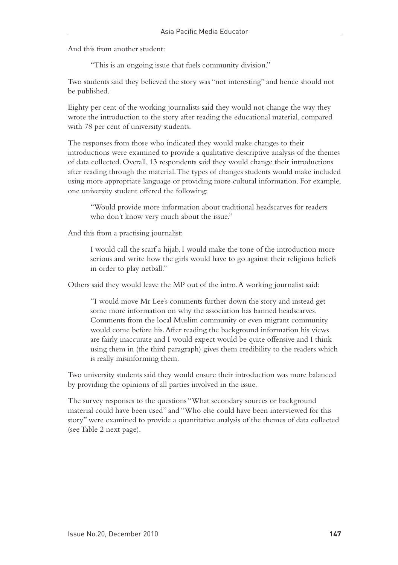And this from another student:

"This is an ongoing issue that fuels community division."

Two students said they believed the story was "not interesting" and hence should not be published.

Eighty per cent of the working journalists said they would not change the way they wrote the introduction to the story after reading the educational material, compared with 78 per cent of university students.

The responses from those who indicated they would make changes to their introductions were examined to provide a qualitative descriptive analysis of the themes of data collected. Overall, 13 respondents said they would change their introductions after reading through the material. The types of changes students would make included using more appropriate language or providing more cultural information. For example, one university student offered the following:

"Would provide more information about traditional headscarves for readers who don't know very much about the issue."

And this from a practising journalist:

I would call the scarf a hijab. I would make the tone of the introduction more serious and write how the girls would have to go against their religious beliefs in order to play netball."

Others said they would leave the MP out of the intro. A working journalist said:

"I would move Mr Lee's comments further down the story and instead get some more information on why the association has banned headscarves. Comments from the local Muslim community or even migrant community would come before his. After reading the background information his views are fairly inaccurate and I would expect would be quite offensive and I think using them in (the third paragraph) gives them credibility to the readers which is really misinforming them.

Two university students said they would ensure their introduction was more balanced by providing the opinions of all parties involved in the issue.

The survey responses to the questions "What secondary sources or background material could have been used" and "Who else could have been interviewed for this story" were examined to provide a quantitative analysis of the themes of data collected (see Table 2 next page).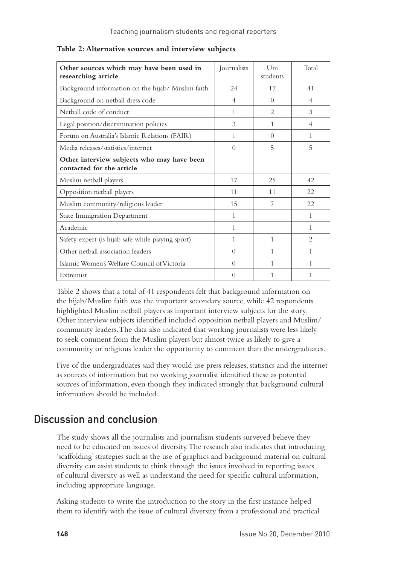| Other sources which may have been used in<br>researching article        | Journalists    | U <sub>ni</sub><br>students   | Total                         |
|-------------------------------------------------------------------------|----------------|-------------------------------|-------------------------------|
| Background information on the hijab/ Muslim faith                       | 24             | 17                            | 41                            |
| Background on netball dress code                                        | $\overline{4}$ | $\Omega$                      | $\overline{4}$                |
| Netball code of conduct                                                 | 1              | $\mathfrak{D}_{\mathfrak{p}}$ | 3                             |
| Legal position/discrimination policies                                  | 3              | 1                             | $\overline{4}$                |
| Forum on Australia's Islamic Relations (FAIR)                           | 1              | $\Omega$                      | 1                             |
| Media releases/statistics/internet                                      | $\Omega$       | 5                             | 5                             |
| Other interview subjects who may have been<br>contacted for the article |                |                               |                               |
| Muslim netball players                                                  | 17             | 25                            | 42                            |
| Opposition netball players                                              | 11             | 11                            | 22                            |
| Muslim community/religious leader                                       | 15             | 7                             | 22                            |
| <b>State Immigration Department</b>                                     | $\mathbf{1}$   |                               | 1                             |
| Academic                                                                | $\mathbf{1}$   |                               | 1                             |
| Safety expert (is hijab safe while playing sport)                       | 1              | 1                             | $\mathfrak{D}_{\mathfrak{p}}$ |
| Other netball association leaders                                       | $\Omega$       | 1                             | 1                             |
| Islamic Women's Welfare Council of Victoria                             | $\Omega$       | 1                             | 1                             |
| Extremist                                                               | $\theta$       |                               | 1                             |

**Table 2: Alternative sources and interview subjects**

Table 2 shows that a total of 41 respondents felt that background information on the hijab/Muslim faith was the important secondary source, while 42 respondents highlighted Muslim netball players as important interview subjects for the story. Other interview subjects identified included opposition netball players and Muslim/ community leaders. The data also indicated that working journalists were less likely to seek comment from the Muslim players but almost twice as likely to give a community or religious leader the opportunity to comment than the undergraduates.

Five of the undergraduates said they would use press releases, statistics and the internet as sources of information but no working journalist identified these as potential sources of information, even though they indicated strongly that background cultural information should be included.

#### Discussion and conclusion

The study shows all the journalists and journalism students surveyed believe they need to be educated on issues of diversity. The research also indicates that introducing 'scaffolding' strategies such as the use of graphics and background material on cultural diversity can assist students to think through the issues involved in reporting issues of cultural diversity as well as understand the need for specific cultural information, including appropriate language.

Asking students to write the introduction to the story in the first instance helped them to identify with the issue of cultural diversity from a professional and practical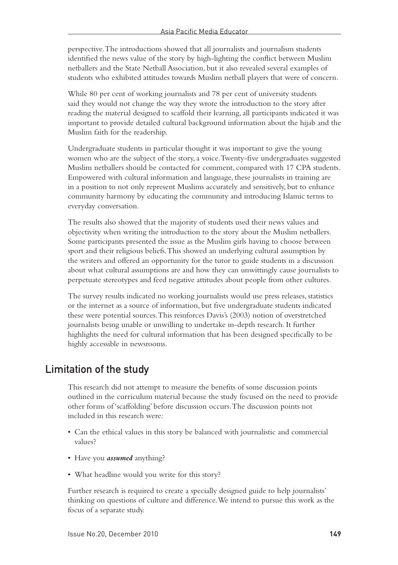perspective. The introductions showed that all journalists and journalism students identified the news value of the story by high-lighting the conflict between Muslim netballers and the State Netball Association, but it also revealed several examples of students who exhibited attitudes towards Muslim netball players that were of concern.

While 80 per cent of working journalists and 78 per cent of university students said they would not change the way they wrote the introduction to the story after reading the material designed to scaffold their learning, all participants indicated it was important to provide detailed cultural background information about the hijab and the Muslim faith for the readership.

Undergraduate students in particular thought it was important to give the young women who are the subject of the story, a voice. Twenty-five undergraduates suggested Muslim netballers should be contacted for comment, compared with 17 CPA students. Empowered with cultural information and language, these journalists in training are in a position to not only represent Muslims accurately and sensitively, but to enhance community harmony by educating the community and introducing Islamic terms to everyday conversation.

The results also showed that the majority of students used their news values and objectivity when writing the introduction to the story about the Muslim netballers. Some participants presented the issue as the Muslim girls having to choose between sport and their religious beliefs. This showed an underlying cultural assumption by the writers and offered an opportunity for the tutor to guide students in a discussion about what cultural assumptions are and how they can unwittingly cause journalists to perpetuate stereotypes and feed negative attitudes about people from other cultures.

The survey results indicated no working journalists would use press releases, statistics or the internet as a source of information, but five undergraduate students indicated these were potential sources. This reinforces Davis's (2003) notion of overstretched journalists being unable or unwilling to undertake in-depth research. It further highlights the need for cultural information that has been designed specifically to be highly accessible in newsrooms.

## Limitation of the study

This research did not attempt to measure the benefits of some discussion points outlined in the curriculum material because the study focused on the need to provide other forms of 'scaffolding' before discussion occurs. The discussion points not included in this research were:

- • Can the ethical values in this story be balanced with journalistic and commercial values?
- Have you *assumed* anything?
- What headline would you write for this story?

Further research is required to create a specially designed guide to help journalists' thinking on questions of culture and difference. We intend to pursue this work as the focus of a separate study.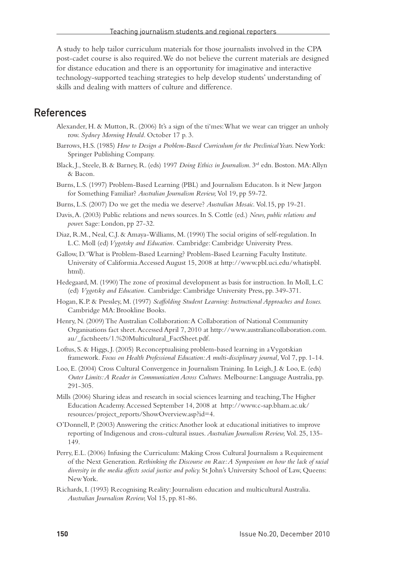A study to help tailor curriculum materials for those journalists involved in the CPA post-cadet course is also required. We do not believe the current materials are designed for distance education and there is an opportunity for imaginative and interactive technology-supported teaching strategies to help develop students' understanding of skills and dealing with matters of culture and difference.

#### References

- Alexander, H. & Mutton, R. (2006) It's a sign of the ti'mes: What we wear can trigger an unholy row. *Sydney Morning Herald.* October 17 p. 3.
- Barrows, H.S. (1985) How to Design a Problem-Based Curriculum for the Preclinical Years. New York: Springer Publishing Company.
- Black, J., Steele, B. & Barney, R. (eds) 1997 *Doing Ethics in Journalism*. 3rd edn. Boston. MA: Allyn & Bacon.
- Burns, L.S. (1997) Problem-Based Learning (PBL) and Journalism Educaton. Is it New Jargon for Something Familiar? *Australian Journalism Review,* Vol 19, pp 59-72.
- Burns, L.S. (2007) Do we get the media we deserve? *Australian Mosaic.* Vol.15, pp 19-21.
- Davis, A. (2003) Public relations and news sources. In S. Cottle (ed.) *News, public relations and power.* Sage: London, pp 27-32.
- Diaz, R.M., Neal, C.J. & Amaya-Williams, M. (1990) The social origins of self-regulation. In L.C. Moll (ed) *Vygotsky and Education.* Cambridge: Cambridge University Press.
- Gallow, D. 'What is Problem-Based Learning? Problem-Based Learning Faculty Institute. University of Califormia.Accessed August 15, 2008 at http://www.pbl.uci.edu/whatispbl. html).
- Hedegaard, M. (1990) The zone of proximal development as basis for instruction. In Moll, L.C (ed) *Vygotsky and Education.* Cambridge: Cambridge University Press, pp. 349-371.
- Hogan, K.P. & Pressley, M. (1997) *Scaffolding Student Learning: Instructional Approaches and Issues.*  Cambridge MA: Brookline Books.
- Henry, N. (2009) The Australian Collaboration: A Collaboration of National Community Organisations fact sheet. Accessed April 7, 2010 at http://www.australiancollaboration.com. au/\_factsheets/1.%20Multicultural\_FactSheet.pdf.
- Loftus, S. & Higgs, J. (2005) Reconceptualising problem-based learning in a Vygotskian framework. *Focus on Health Professional Education: A multi-disciplinary journal,* Vol 7, pp. 1-14.
- Loo, E. (2004) Cross Cultural Convergence in Journalism Training. In Leigh, J. & Loo, E. (eds) *Outer Limits: A Reader in Communication Across Cultures.* Melbourne: Language Australia, pp. 291-305.
- Mills (2006) Sharing ideas and research in social sciences learning and teaching, The Higher Education Academy. Accessed September 14, 2008 at http://www.c-sap.bham.ac.uk/ resources/project\_reports/ShowOverview.asp?id=4.
- O'Donnell, P. (2003) Answering the critics: Another look at educational initiatives to improve reporting of Indigenous and cross-cultural issues. *Australian Journalism Review,* Vol. 25, 135- 149.
- Perry, E.L. (2006) Infusing the Curriculum: Making Cross Cultural Journalism a Requirement of the Next Generation. *Rethinking the Discourse on Race: A Symposium on how the lack of racial diversity in the media affects social justice and policy.* St John's University School of Law, Queens: New York.
- Richards, I. (1993) Recognising Reality: Journalism education and multicultural Australia. *Australian Journalism Review,* Vol 15, pp. 81-86.